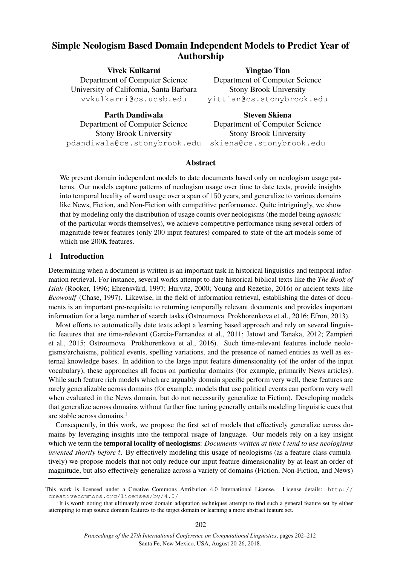# Simple Neologism Based Domain Independent Models to Predict Year of Authorship

Vivek Kulkarni Department of Computer Science University of California, Santa Barbara vvkulkarni@cs.ucsb.edu

Parth Dandiwala Department of Computer Science Stony Brook University pdandiwala@cs.stonybrook.edu

Yingtao Tian Department of Computer Science Stony Brook University yittian@cs.stonybrook.edu

Steven Skiena Department of Computer Science Stony Brook University skiena@cs.stonybrook.edu

# Abstract

We present domain independent models to date documents based only on neologism usage patterns. Our models capture patterns of neologism usage over time to date texts, provide insights into temporal locality of word usage over a span of 150 years, and generalize to various domains like News, Fiction, and Non-Fiction with competitive performance. Quite intriguingly, we show that by modeling only the distribution of usage counts over neologisms (the model being *agnostic* of the particular words themselves), we achieve competitive performance using several orders of magnitude fewer features (only 200 input features) compared to state of the art models some of which use 200K features.

## 1 Introduction

Determining when a document is written is an important task in historical linguistics and temporal information retrieval. For instance, several works attempt to date historical biblical texts like the *The Book of Isiah* (Rooker, 1996; Ehrensvärd, 1997; Hurvitz, 2000; Young and Rezetko, 2016) or ancient texts like *Beowoulf* (Chase, 1997). Likewise, in the field of information retrieval, establishing the dates of documents is an important pre-requisite to returning temporally relevant documents and provides important information for a large number of search tasks (Ostroumova Prokhorenkova et al., 2016; Efron, 2013).

Most efforts to automatically date texts adopt a learning based approach and rely on several linguistic features that are time-relevant (Garcia-Fernandez et al., 2011; Jatowt and Tanaka, 2012; Zampieri et al., 2015; Ostroumova Prokhorenkova et al., 2016). Such time-relevant features include neologisms/archaisms, political events, spelling variations, and the presence of named entities as well as external knowledge bases. In addition to the large input feature dimensionality (of the order of the input vocabulary), these approaches all focus on particular domains (for example, primarily News articles). While such feature rich models which are arguably domain specific perform very well, these features are rarely generalizable across domains (for example. models that use political events can perform very well when evaluated in the News domain, but do not necessarily generalize to Fiction). Developing models that generalize across domains without further fine tuning generally entails modeling linguistic cues that are stable across domains.<sup>1</sup>

Consequently, in this work, we propose the first set of models that effectively generalize across domains by leveraging insights into the temporal usage of language. Our models rely on a key insight which we term the temporal locality of neologisms: *Documents written at time* t *tend to use neologisms invented shortly before t.* By effectively modeling this usage of neologisms (as a feature class cumulatively) we propose models that not only reduce our input feature dimensionality by at-least an order of magnitude, but also effectively generalize across a variety of domains (Fiction, Non-Fiction, and News)

This work is licensed under a Creative Commons Attribution 4.0 International License. License details: http:// creativecommons.org/licenses/by/4.0/

<sup>&</sup>lt;sup>1</sup>It is worth noting that ultimately most domain adaptation techniques attempt to find such a general feature set by either attempting to map source domain features to the target domain or learning a more abstract feature set.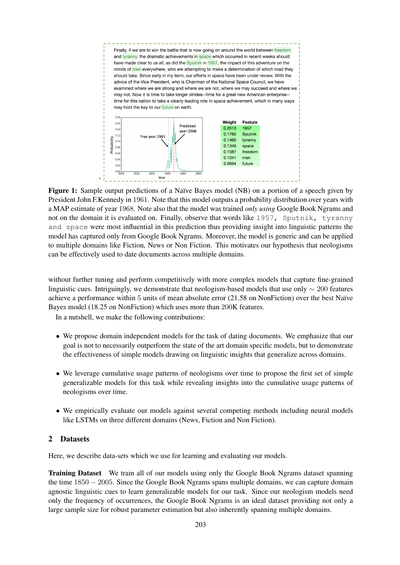Finally, if we are to win the battle that is now going on around the world between freedom and tyranny, the dramatic achievements in space which occurred in recent weeks should have made clear to us all, as did the Sputnik in 1957, the impact of this adventure on the minds of men everywhere, who are attempting to make a determination of which road they should take. Since early in my term, our efforts in space have been under review. With the advice of the Vice President, who is Chairman of the National Space Council, we have examined where we are strong and where we are not, where we may succeed and where we may not. Now it is time to take longer strides--time for a great new American enterprise-time for this nation to take a clearly leading role in space achievement, which in many ways may hold the key to our future on earth.  $0.15$ Weight Feature  $0.16$ Predicted 0.2613 1957  $0.14$ year:1968 0.1760 Sputnik  $0.12$ True vear:1961 robability 0.1460  $0.10$ tvranny 0.1346 space  $0.08$ 0.1087 freedom  $0.01$  $0.1041$ men  $0.04$ 0.0694 future  $0.0$ 

Figure 1: Sample output predictions of a Naïve Bayes model (NB) on a portion of a speech given by President John F.Kennedy in 1961. Note that this model outputs a probability distribution over years with a MAP estimate of year 1968. Note also that the model was trained *only using* Google Book Ngrams and not on the domain it is evaluated on. Finally, observe that words like 1957, Sputnik, tyranny and space were most influential in this prediction thus providing insight into linguistic patterns the model has captured only from Google Book Ngrams. Moreover, the model is generic and can be applied to multiple domains like Fiction, News or Non Fiction. This motivates our hypothesis that neologisms can be effectively used to date documents across multiple domains.

Year

without further tuning and perform competitively with more complex models that capture fine-grained linguistic cues. Intriguingly, we demonstrate that neologism-based models that use only ∼ 200 features achieve a performance within 5 units of mean absolute error (21.58 on NonFiction) over the best Naïve Bayes model (18.25 on NonFiction) which uses more than 200K features.

In a nutshell, we make the following contributions:

 $\ddot{\phantom{0}}$ 

- We propose domain independent models for the task of dating documents. We emphasize that our goal is not to necessarily outperform the state of the art domain specific models, but to demonstrate the effectiveness of simple models drawing on linguistic insights that generalize across domains.
- We leverage cumulative usage patterns of neologisms over time to propose the first set of simple generalizable models for this task while revealing insights into the cumulative usage patterns of neologisms over time.
- We empirically evaluate our models against several competing methods including neural models like LSTMs on three different domains (News, Fiction and Non Fiction).

# 2 Datasets

Here, we describe data-sets which we use for learning and evaluating our models.

Training Dataset We train all of our models using only the Google Book Ngrams dataset spanning the time 1850 − 2005. Since the Google Book Ngrams spans multiple domains, we can capture domain agnostic linguistic cues to learn generalizable models for our task. Since our neologism models need only the frequency of occurrences, the Google Book Ngrams is an ideal dataset providing not only a large sample size for robust parameter estimation but also inherently spanning multiple domains.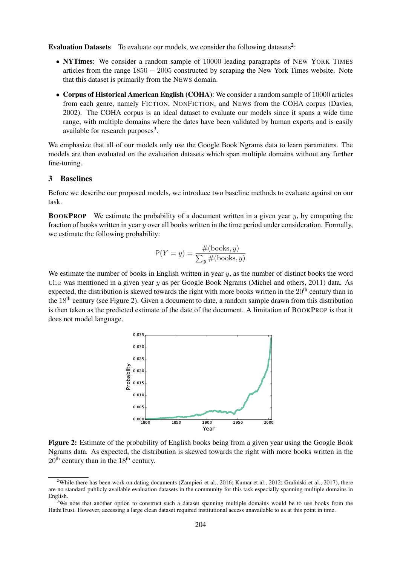**Evaluation Datasets** To evaluate our models, we consider the following datasets<sup>2</sup>:

- NYTimes: We consider a random sample of 10000 leading paragraphs of NEW YORK TIMES articles from the range  $1850 - 2005$  constructed by scraping the New York Times website. Note that this dataset is primarily from the NEWS domain.
- Corpus of Historical American English (COHA): We consider a random sample of 10000 articles from each genre, namely FICTION, NONFICTION, and NEWS from the COHA corpus (Davies, 2002). The COHA corpus is an ideal dataset to evaluate our models since it spans a wide time range, with multiple domains where the dates have been validated by human experts and is easily available for research purposes<sup>3</sup>.

We emphasize that all of our models only use the Google Book Ngrams data to learn parameters. The models are then evaluated on the evaluation datasets which span multiple domains without any further fine-tuning.

## 3 Baselines

Before we describe our proposed models, we introduce two baseline methods to evaluate against on our task.

**BOOKPROP** We estimate the probability of a document written in a given year  $y$ , by computing the fraction of books written in year  $y$  over all books written in the time period under consideration. Formally, we estimate the following probability:

$$
P(Y = y) = \frac{\#(\text{books}, y)}{\sum_{y} \#(\text{books}, y)}
$$

We estimate the number of books in English written in year  $y$ , as the number of distinct books the word the was mentioned in a given year  $y$  as per Google Book Ngrams (Michel and others, 2011) data. As expected, the distribution is skewed towards the right with more books written in the  $20<sup>th</sup>$  century than in the 18th century (see Figure 2). Given a document to date, a random sample drawn from this distribution is then taken as the predicted estimate of the date of the document. A limitation of BOOKPROP is that it does not model language.



Figure 2: Estimate of the probability of English books being from a given year using the Google Book Ngrams data. As expected, the distribution is skewed towards the right with more books written in the  $20<sup>th</sup>$  century than in the  $18<sup>th</sup>$  century.

<sup>&</sup>lt;sup>2</sup>While there has been work on dating documents (Zampieri et al., 2016; Kumar et al., 2012; Gralinski et al., 2017), there are no standard publicly available evaluation datasets in the community for this task especially spanning multiple domains in English.

<sup>&</sup>lt;sup>3</sup>We note that another option to construct such a dataset spanning multiple domains would be to use books from the HathiTrust. However, accessing a large clean dataset required institutional access unavailable to us at this point in time.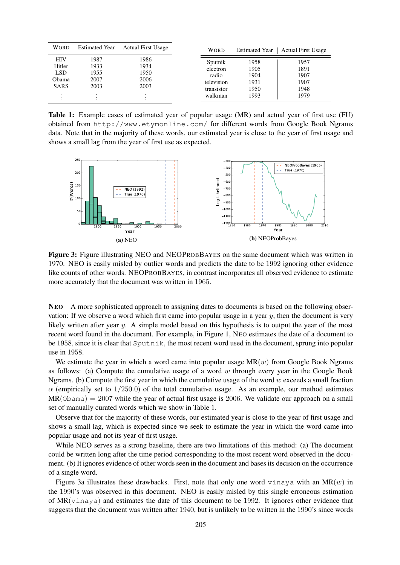| <b>Estimated Year</b><br><b>WORD</b><br><b>Actual First Usage</b>             |                                      |                                      | <b>WORD</b>                                                         |  | <b>Actual First Usage</b>                    |                                              |
|-------------------------------------------------------------------------------|--------------------------------------|--------------------------------------|---------------------------------------------------------------------|--|----------------------------------------------|----------------------------------------------|
| <b>HIV</b><br>Hitler<br>LSD<br>Obama<br><b>SARS</b><br>$\bullet$<br>$\bullet$ | 1987<br>1933<br>1955<br>2007<br>2003 | 1986<br>1934<br>1950<br>2006<br>2003 | Sputnik<br>electron<br>radio<br>television<br>transistor<br>walkman |  | 1958<br>1905<br>1904<br>1931<br>1950<br>1993 | 1957<br>1891<br>1907<br>1907<br>1948<br>1979 |

Table 1: Example cases of estimated year of popular usage (MR) and actual year of first use (FU) obtained from http://www.etymonline.com/ for different words from Google Book Ngrams data. Note that in the majority of these words, our estimated year is close to the year of first usage and shows a small lag from the year of first use as expected.



Figure 3: Figure illustrating NEO and NEOPROBBAYES on the same document which was written in 1970. NEO is easily misled by outlier words and predicts the date to be 1992 ignoring other evidence like counts of other words. NEOPROBBAYES, in contrast incorporates all observed evidence to estimate more accurately that the document was written in 1965.

NEO A more sophisticated approach to assigning dates to documents is based on the following observation: If we observe a word which first came into popular usage in a year  $y$ , then the document is very likely written after year y. A simple model based on this hypothesis is to output the year of the most recent word found in the document. For example, in Figure 1, NEO estimates the date of a document to be 1958, since it is clear that Sputnik, the most recent word used in the document, sprung into popular use in 1958.

We estimate the year in which a word came into popular usage  $MR(w)$  from Google Book Ngrams as follows: (a) Compute the cumulative usage of a word  $w$  through every year in the Google Book Ngrams. (b) Compute the first year in which the cumulative usage of the word  $w$  exceeds a small fraction  $\alpha$  (empirically set to 1/250.0) of the total cumulative usage. As an example, our method estimates  $MR(0$ bama) = 2007 while the year of actual first usage is 2006. We validate our approach on a small set of manually curated words which we show in Table 1.

Observe that for the majority of these words, our estimated year is close to the year of first usage and shows a small lag, which is expected since we seek to estimate the year in which the word came into popular usage and not its year of first usage.

While NEO serves as a strong baseline, there are two limitations of this method: (a) The document could be written long after the time period corresponding to the most recent word observed in the document. (b) It ignores evidence of other words seen in the document and bases its decision on the occurrence of a single word.

Figure 3a illustrates these drawbacks. First, note that only one word vinaya with an  $MR(w)$  in the 1990's was observed in this document. NEO is easily misled by this single erroneous estimation of  $MR(v\text{inaya})$  and estimates the date of this document to be 1992. It ignores other evidence that suggests that the document was written after 1940, but is unlikely to be written in the 1990's since words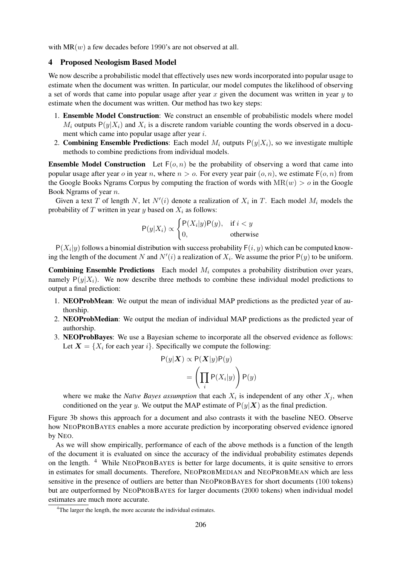with  $MR(w)$  a few decades before 1990's are not observed at all.

# 4 Proposed Neologism Based Model

We now describe a probabilistic model that effectively uses new words incorporated into popular usage to estimate when the document was written. In particular, our model computes the likelihood of observing a set of words that came into popular usage after year x given the document was written in year  $y$  to estimate when the document was written. Our method has two key steps:

- 1. Ensemble Model Construction: We construct an ensemble of probabilistic models where model  $M_i$  outputs  $P(y|X_i)$  and  $X_i$  is a discrete random variable counting the words observed in a document which came into popular usage after year *i*.
- 2. Combining Ensemble Predictions: Each model  $M_i$  outputs  $P(y|X_i)$ , so we investigate multiple methods to combine predictions from individual models.

**Ensemble Model Construction** Let  $F(o, n)$  be the probability of observing a word that came into popular usage after year o in year n, where  $n > 0$ . For every year pair  $(o, n)$ , we estimate  $F(o, n)$  from the Google Books Ngrams Corpus by computing the fraction of words with  $MR(w) > 0$  in the Google Book Ngrams of year n.

Given a text T of length N, let  $N'(i)$  denote a realization of  $X_i$  in T. Each model  $M_i$  models the probability of  $T$  written in year  $y$  based on  $X_i$  as follows:

$$
\mathsf{P}(y|X_i) \propto \begin{cases} \mathsf{P}(X_i|y)\mathsf{P}(y), & \text{if } i < y \\ 0, & \text{otherwise} \end{cases}
$$

 $P(X_i|y)$  follows a binomial distribution with success probability  $F(i, y)$  which can be computed knowing the length of the document N and  $N'(i)$  a realization of  $X_i$ . We assume the prior  $P(y)$  to be uniform.

**Combining Ensemble Predictions** Each model  $M_i$  computes a probability distribution over years, namely  $P(y|X_i)$ . We now describe three methods to combine these individual model predictions to output a final prediction:

- 1. NEOProbMean: We output the mean of individual MAP predictions as the predicted year of authorship.
- 2. NEOProbMedian: We output the median of individual MAP predictions as the predicted year of authorship.
- 3. NEOProbBayes: We use a Bayesian scheme to incorporate all the observed evidence as follows: Let  $X = \{X_i \text{ for each year } i\}$ . Specifically we compute the following:

$$
P(y|\mathbf{X}) \propto P(\mathbf{X}|y)P(y)
$$
  
= 
$$
\left(\prod_i P(X_i|y)\right)P(y)
$$

where we make the *Naïve Bayes assumption* that each  $X_i$  is independent of any other  $X_j$ , when conditioned on the year y. We output the MAP estimate of  $P(y|\mathbf{X})$  as the final prediction.

Figure 3b shows this approach for a document and also contrasts it with the baseline NEO. Observe how NEOPROBBAYES enables a more accurate prediction by incorporating observed evidence ignored by NEO.

As we will show empirically, performance of each of the above methods is a function of the length of the document it is evaluated on since the accuracy of the individual probability estimates depends on the length. <sup>4</sup> While NEOPROBBAYES is better for large documents, it is quite sensitive to errors in estimates for small documents. Therefore, NEOPROBMEDIAN and NEOPROBMEAN which are less sensitive in the presence of outliers are better than NEOPROBBAYES for short documents (100 tokens) but are outperformed by NEOPROBBAYES for larger documents (2000 tokens) when individual model estimates are much more accurate.

<sup>&</sup>lt;sup>4</sup>The larger the length, the more accurate the individual estimates.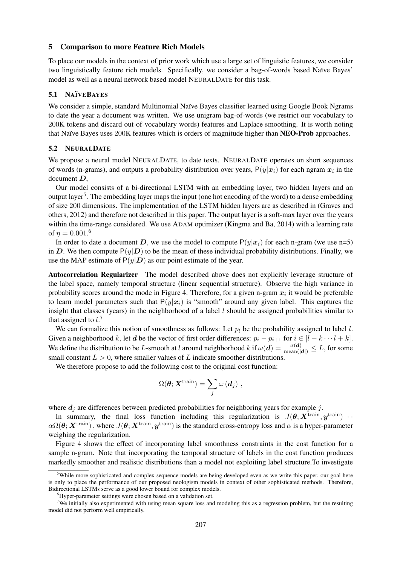#### 5 Comparison to more Feature Rich Models

To place our models in the context of prior work which use a large set of linguistic features, we consider two linguistically feature rich models. Specifically, we consider a bag-of-words based Naïve Bayes' model as well as a neural network based model NEURALDATE for this task.

#### 5.1 NA¨IVEBAYES

We consider a simple, standard Multinomial Naïve Bayes classifier learned using Google Book Ngrams to date the year a document was written. We use unigram bag-of-words (we restrict our vocabulary to 200K tokens and discard out-of-vocabulary words) features and Laplace smoothing. It is worth noting that Naïve Bayes uses 200K features which is orders of magnitude higher than NEO-Prob approaches.

#### 5.2 NEURALDATE

We propose a neural model NEURALDATE, to date texts. NEURALDATE operates on short sequences of words (n-grams), and outputs a probability distribution over years,  $P(y|x_i)$  for each ngram  $x_i$  in the document D,

Our model consists of a bi-directional LSTM with an embedding layer, two hidden layers and an output layer<sup>5</sup>. The embedding layer maps the input (one hot encoding of the word) to a dense embedding of size 200 dimensions. The implementation of the LSTM hidden layers are as described in (Graves and others, 2012) and therefore not described in this paper. The output layer is a soft-max layer over the years within the time-range considered. We use ADAM optimizer (Kingma and Ba, 2014) with a learning rate of  $\eta = 0.001$ .<sup>6</sup>

In order to date a document D, we use the model to compute  $P(y|x_i)$  for each n-gram (we use n=5) in D. We then compute  $P(y|D)$  to be the mean of these individual probability distributions. Finally, we use the MAP estimate of  $P(y|D)$  as our point estimate of the year.

Autocorrelation Regularizer The model described above does not explicitly leverage structure of the label space, namely temporal structure (linear sequential structure). Observe the high variance in probability scores around the mode in Figure 4. Therefore, for a given n-gram  $x_i$  it would be preferable to learn model parameters such that  $P(y|x_i)$  is "smooth" around any given label. This captures the insight that classes (years) in the neighborhood of a label  $l$  should be assigned probabilities similar to that assigned to  $l^2$ .

We can formalize this notion of smoothness as follows: Let  $p_l$  be the probability assigned to label l. Given a neighborhood k, let d be the vector of first order differences:  $p_i - p_{i+1}$  for  $i \in [l - k \cdots l + k]$ . We define the distribution to be L-smooth at l around neighborhood k if  $\omega(\boldsymbol{d}) = \frac{\sigma(\boldsymbol{d})}{\text{mean}(|\boldsymbol{d}|)} \leq L$ , for some small constant  $L > 0$ , where smaller values of L indicate smoother distributions.

We therefore propose to add the following cost to the original cost function:

$$
\Omega(\bm{\theta};\bm{X}^{\text{train}})=\sum_j \omega\left(\bm{d}_j\right)\,,
$$

where  $d_i$  are differences between predicted probabilities for neighboring years for example j.

In summary, the final loss function including this regularization is  $J(\theta; X^{\text{train}}, y^{\text{train}})$  +  $\alpha\Omega(\theta; \bm{X}^{\text{train}})$ , where  $J(\theta; \bm{X}^{\text{train}}, \bm{y}^{\text{train}})$  is the standard cross-entropy loss and  $\alpha$  is a hyper-parameter weighing the regularization.

Figure 4 shows the effect of incorporating label smoothness constraints in the cost function for a sample n-gram. Note that incorporating the temporal structure of labels in the cost function produces markedly smoother and realistic distributions than a model not exploiting label structure.To investigate

 $5$ While more sophisticated and complex sequence models are being developed even as we write this paper, our goal here is only to place the performance of our proposed neologism models in context of other sophisticated methods. Therefore, Bidirectional LSTMs serve as a good lower bound for complex models.

<sup>&</sup>lt;sup>6</sup>Hyper-parameter settings were chosen based on a validation set.

<sup>&</sup>lt;sup>7</sup>We initially also experimented with using mean square loss and modeling this as a regression problem, but the resulting model did not perform well empirically.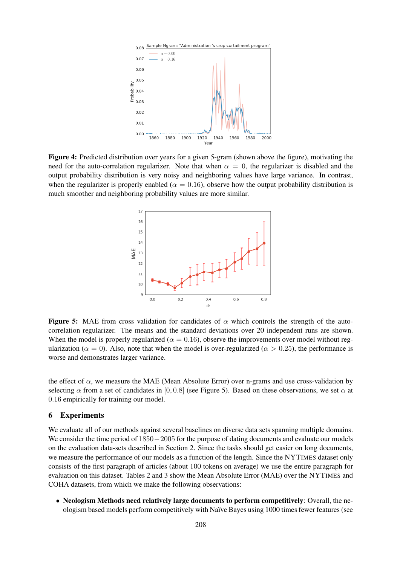

Figure 4: Predicted distribution over years for a given 5-gram (shown above the figure), motivating the need for the auto-correlation regularizer. Note that when  $\alpha = 0$ , the regularizer is disabled and the output probability distribution is very noisy and neighboring values have large variance. In contrast, when the regularizer is properly enabled ( $\alpha = 0.16$ ), observe how the output probability distribution is much smoother and neighboring probability values are more similar.



**Figure 5:** MAE from cross validation for candidates of  $\alpha$  which controls the strength of the autocorrelation regularizer. The means and the standard deviations over 20 independent runs are shown. When the model is properly regularized ( $\alpha = 0.16$ ), observe the improvements over model without regularization ( $\alpha = 0$ ). Also, note that when the model is over-regularized ( $\alpha > 0.25$ ), the performance is worse and demonstrates larger variance.

the effect of  $\alpha$ , we measure the MAE (Mean Absolute Error) over n-grams and use cross-validation by selecting  $\alpha$  from a set of candidates in [0, 0.8] (see Figure 5). Based on these observations, we set  $\alpha$  at 0.16 empirically for training our model.

### 6 Experiments

We evaluate all of our methods against several baselines on diverse data sets spanning multiple domains. We consider the time period of 1850−2005 for the purpose of dating documents and evaluate our models on the evaluation data-sets described in Section 2. Since the tasks should get easier on long documents, we measure the performance of our models as a function of the length. Since the NYTIMES dataset only consists of the first paragraph of articles (about 100 tokens on average) we use the entire paragraph for evaluation on this dataset. Tables 2 and 3 show the Mean Absolute Error (MAE) over the NYTIMES and COHA datasets, from which we make the following observations:

• Neologism Methods need relatively large documents to perform competitively: Overall, the neologism based models perform competitively with Na¨ıve Bayes using 1000 times fewer features (see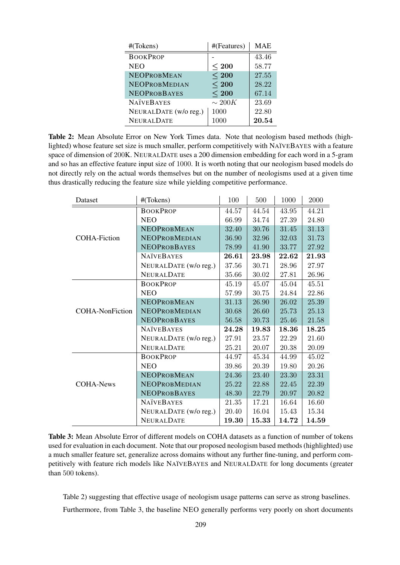| #(Tokens)             | #(Features) | <b>MAE</b> |  |
|-----------------------|-------------|------------|--|
| <b>BOOKPROP</b>       |             | 43.46      |  |
| <b>NEO</b>            | $<$ 200     | 58.77      |  |
| <b>NEOPROBMEAN</b>    | $<$ 200     | 27.55      |  |
| NEOPROBMEDIAN         | $<$ 200     | 28.22      |  |
| <b>NEOPROBBAYES</b>   | $<$ 200     | 67.14      |  |
| <b>NAÏVEBAYES</b>     | $\sim 200K$ | 23.69      |  |
| NEURALDATE (w/o reg.) | 1000        | 22.80      |  |
| <b>NEURALDATE</b>     | 1000        | 20.54      |  |

Table 2: Mean Absolute Error on New York Times data. Note that neologism based methods (highlighted) whose feature set size is much smaller, perform competitively with NAÏVEBAYES with a feature space of dimension of 200K. NEURALDATE uses a 200 dimension embedding for each word in a 5-gram and so has an effective feature input size of 1000. It is worth noting that our neologism based models do not directly rely on the actual words themselves but on the number of neologisms used at a given time thus drastically reducing the feature size while yielding competitive performance.

| #(Tokens)<br>Dataset   |                       | 100   | 500   | 1000  | 2000  |
|------------------------|-----------------------|-------|-------|-------|-------|
|                        | <b>BOOKPROP</b>       | 44.57 | 44.54 | 43.95 | 44.21 |
|                        | <b>NEO</b>            | 66.99 | 34.74 | 27.39 | 24.80 |
|                        | <b>NEOPROBMEAN</b>    | 32.40 | 30.76 | 31.45 | 31.13 |
| <b>COHA-Fiction</b>    | NEOPROBMEDIAN         | 36.90 | 32.96 | 32.03 | 31.73 |
|                        | <b>NEOPROBBAYES</b>   | 78.99 | 41.90 | 33.77 | 27.92 |
|                        | <b>NATVEBAYES</b>     | 26.61 | 23.98 | 22.62 | 21.93 |
|                        | NEURALDATE (w/o reg.) | 37.56 | 30.71 | 28.96 | 27.97 |
|                        | <b>NEURALDATE</b>     | 35.66 | 30.02 | 27.81 | 26.96 |
|                        | <b>BOOKPROP</b>       | 45.19 | 45.07 | 45.04 | 45.51 |
|                        | <b>NEO</b>            | 57.99 | 30.75 | 24.84 | 22.86 |
|                        | <b>NEOPROBMEAN</b>    | 31.13 | 26.90 | 26.02 | 25.39 |
| <b>COHA-NonFiction</b> | <b>NEOPROBMEDIAN</b>  | 30.68 | 26.60 | 25.73 | 25.13 |
|                        | <b>NEOPROBBAYES</b>   | 56.58 | 30.73 | 25.46 | 21.58 |
|                        | <b>NATVEBAYES</b>     | 24.28 | 19.83 | 18.36 | 18.25 |
|                        | NEURALDATE (w/o reg.) | 27.91 | 23.57 | 22.29 | 21.60 |
|                        | <b>NEURALDATE</b>     | 25.21 | 20.07 | 20.38 | 20.09 |
|                        | <b>BOOKPROP</b>       | 44.97 | 45.34 | 44.99 | 45.02 |
|                        | <b>NEO</b>            | 39.86 | 20.39 | 19.80 | 20.26 |
|                        | <b>NEOPROBMEAN</b>    | 24.36 | 23.40 | 23.30 | 23.31 |
| COHA-News              | <b>NEOPROBMEDIAN</b>  | 25.22 | 22.88 | 22.45 | 22.39 |
|                        | <b>NEOPROBBAYES</b>   | 48.30 | 22.79 | 20.97 | 20.82 |
|                        | <b>NATVEBAYES</b>     | 21.35 | 17.21 | 16.64 | 16.60 |
|                        | NEURALDATE (w/o reg.) | 20.40 | 16.04 | 15.43 | 15.34 |
|                        | <b>NEURALDATE</b>     | 19.30 | 15.33 | 14.72 | 14.59 |

Table 3: Mean Absolute Error of different models on COHA datasets as a function of number of tokens used for evaluation in each document. Note that our proposed neologism based methods (highlighted) use a much smaller feature set, generalize across domains without any further fine-tuning, and perform competitively with feature rich models like NAÏVEBAYES and NEURALDATE for long documents (greater than 500 tokens).

Table 2) suggesting that effective usage of neologism usage patterns can serve as strong baselines.

Furthermore, from Table 3, the baseline NEO generally performs very poorly on short documents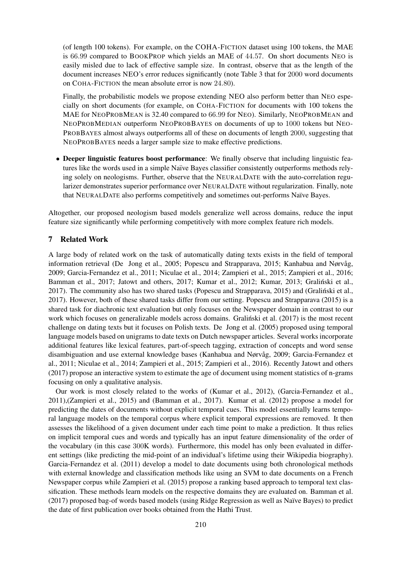(of length 100 tokens). For example, on the COHA-FICTION dataset using 100 tokens, the MAE is 66.99 compared to BOOKPROP which yields an MAE of 44.57. On short documents NEO is easily misled due to lack of effective sample size. In contrast, observe that as the length of the document increases NEO's error reduces significantly (note Table 3 that for 2000 word documents on COHA-FICTION the mean absolute error is now 24.80).

Finally, the probabilistic models we propose extending NEO also perform better than NEO especially on short documents (for example, on COHA-FICTION for documents with 100 tokens the MAE for NEOPROBMEAN is 32.40 compared to 66.99 for NEO). Similarly, NEOPROBMEAN and NEOPROBMEDIAN outperform NEOPROBBAYES on documents of up to 1000 tokens but NEO-PROBBAYES almost always outperforms all of these on documents of length 2000, suggesting that NEOPROBBAYES needs a larger sample size to make effective predictions.

• Deeper linguistic features boost performance: We finally observe that including linguistic features like the words used in a simple Naïve Bayes classifier consistently outperforms methods relying solely on neologisms. Further, observe that the NEURALDATE with the auto-correlation regularizer demonstrates superior performance over NEURALDATE without regularization. Finally, note that NEURALDATE also performs competitively and sometimes out-performs Naïve Bayes.

Altogether, our proposed neologism based models generalize well across domains, reduce the input feature size significantly while performing competitively with more complex feature rich models.

# 7 Related Work

A large body of related work on the task of automatically dating texts exists in the field of temporal information retrieval (De Jong et al., 2005; Popescu and Strapparava, 2015; Kanhabua and Nørvåg, 2009; Garcia-Fernandez et al., 2011; Niculae et al., 2014; Zampieri et al., 2015; Zampieri et al., 2016; Bamman et al., 2017; Jatowt and others, 2017; Kumar et al., 2012; Kumar, 2013; Gralinski et al., 2017). The community also has two shared tasks (Popescu and Strapparava, 2015) and (Gralinski et al., ´ 2017). However, both of these shared tasks differ from our setting. Popescu and Strapparava (2015) is a shared task for diachronic text evaluation but only focuses on the Newspaper domain in contrast to our work which focuses on generalizable models across domains. Gralinski et al. (2017) is the most recent challenge on dating texts but it focuses on Polish texts. De Jong et al. (2005) proposed using temporal language models based on unigrams to date texts on Dutch newspaper articles. Several works incorporate additional features like lexical features, part-of-speech tagging, extraction of concepts and word sense disambiguation and use external knowledge bases (Kanhabua and Nørvåg, 2009; Garcia-Fernandez et al., 2011; Niculae et al., 2014; Zampieri et al., 2015; Zampieri et al., 2016). Recently Jatowt and others (2017) propose an interactive system to estimate the age of document using moment statistics of n-grams focusing on only a qualitative analysis.

Our work is most closely related to the works of (Kumar et al., 2012), (Garcia-Fernandez et al., 2011),(Zampieri et al., 2015) and (Bamman et al., 2017). Kumar et al. (2012) propose a model for predicting the dates of documents without explicit temporal cues. This model essentially learns temporal language models on the temporal corpus where explicit temporal expressions are removed. It then assesses the likelihood of a given document under each time point to make a prediction. It thus relies on implicit temporal cues and words and typically has an input feature dimensionality of the order of the vocabulary (in this case 300K words). Furthermore, this model has only been evaluated in different settings (like predicting the mid-point of an individual's lifetime using their Wikipedia biography). Garcia-Fernandez et al. (2011) develop a model to date documents using both chronological methods with external knowledge and classification methods like using an SVM to date documents on a French Newspaper corpus while Zampieri et al. (2015) propose a ranking based approach to temporal text classification. These methods learn models on the respective domains they are evaluated on. Bamman et al. (2017) proposed bag-of words based models (using Ridge Regression as well as Naïve Bayes) to predict the date of first publication over books obtained from the Hathi Trust.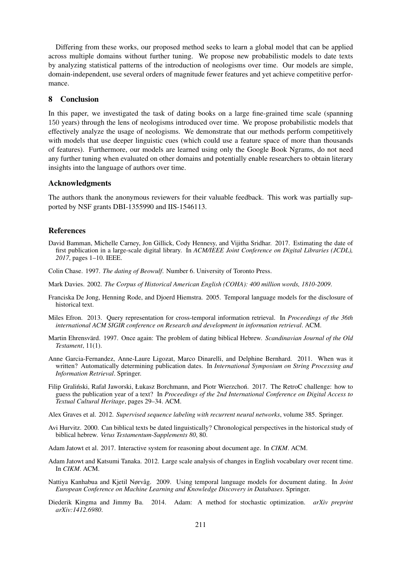Differing from these works, our proposed method seeks to learn a global model that can be applied across multiple domains without further tuning. We propose new probabilistic models to date texts by analyzing statistical patterns of the introduction of neologisms over time. Our models are simple, domain-independent, use several orders of magnitude fewer features and yet achieve competitive performance.

# 8 Conclusion

In this paper, we investigated the task of dating books on a large fine-grained time scale (spanning 150 years) through the lens of neologisms introduced over time. We propose probabilistic models that effectively analyze the usage of neologisms. We demonstrate that our methods perform competitively with models that use deeper linguistic cues (which could use a feature space of more than thousands of features). Furthermore, our models are learned using only the Google Book Ngrams, do not need any further tuning when evaluated on other domains and potentially enable researchers to obtain literary insights into the language of authors over time.

#### Acknowledgments

The authors thank the anonymous reviewers for their valuable feedback. This work was partially supported by NSF grants DBI-1355990 and IIS-1546113.

## References

- David Bamman, Michelle Carney, Jon Gillick, Cody Hennesy, and Vijitha Sridhar. 2017. Estimating the date of first publication in a large-scale digital library. In *ACM/IEEE Joint Conference on Digital Libraries (JCDL), 2017*, pages 1–10. IEEE.
- Colin Chase. 1997. *The dating of Beowulf*. Number 6. University of Toronto Press.
- Mark Davies. 2002. *The Corpus of Historical American English (COHA): 400 million words, 1810-2009*.
- Franciska De Jong, Henning Rode, and Djoerd Hiemstra. 2005. Temporal language models for the disclosure of historical text.
- Miles Efron. 2013. Query representation for cross-temporal information retrieval. In *Proceedings of the 36th international ACM SIGIR conference on Research and development in information retrieval*. ACM.
- Martin Ehrensvärd. 1997. Once again: The problem of dating biblical Hebrew. Scandinavian Journal of the Old *Testament*, 11(1).
- Anne Garcia-Fernandez, Anne-Laure Ligozat, Marco Dinarelli, and Delphine Bernhard. 2011. When was it written? Automatically determining publication dates. In *International Symposium on String Processing and Information Retrieval*. Springer.
- Filip Graliński, Rafał Jaworski, Łukasz Borchmann, and Piotr Wierzchoń. 2017. The RetroC challenge: how to guess the publication year of a text? In *Proceedings of the 2nd International Conference on Digital Access to Textual Cultural Heritage*, pages 29–34. ACM.
- Alex Graves et al. 2012. *Supervised sequence labeling with recurrent neural networks*, volume 385. Springer.
- Avi Hurvitz. 2000. Can biblical texts be dated linguistically? Chronological perspectives in the historical study of biblical hebrew. *Vetus Testamentum-Supplements 80*, 80.
- Adam Jatowt et al. 2017. Interactive system for reasoning about document age. In *CIKM*. ACM.
- Adam Jatowt and Katsumi Tanaka. 2012. Large scale analysis of changes in English vocabulary over recent time. In *CIKM*. ACM.
- Nattiya Kanhabua and Kietil Nørvåg. 2009. Using temporal language models for document dating. In *Joint European Conference on Machine Learning and Knowledge Discovery in Databases*. Springer.
- Diederik Kingma and Jimmy Ba. 2014. Adam: A method for stochastic optimization. *arXiv preprint arXiv:1412.6980*.